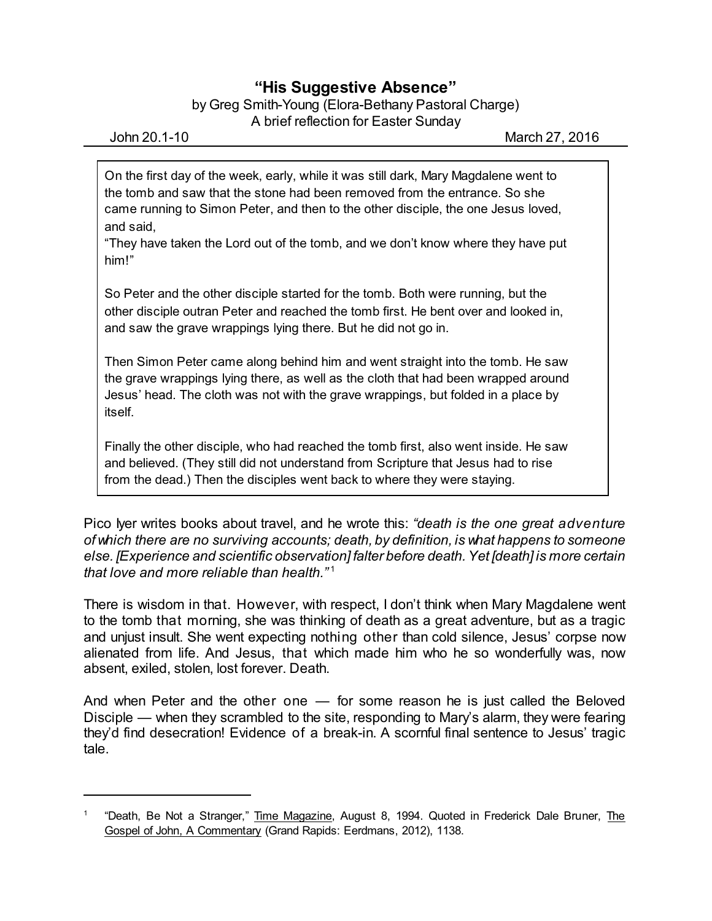## **"His Suggestive Absence"**

by Greg Smith-Young (Elora-Bethany Pastoral Charge) A brief reflection for Easter Sunday

On the first day of the week, early, while it was still dark, Mary Magdalene went to the tomb and saw that the stone had been removed from the entrance. So she came running to Simon Peter, and then to the other disciple, the one Jesus loved, and said,

"They have taken the Lord out of the tomb, and we don't know where they have put him!"

So Peter and the other disciple started for the tomb. Both were running, but the other disciple outran Peter and reached the tomb first. He bent over and looked in, and saw the grave wrappings lying there. But he did not go in.

Then Simon Peter came along behind him and went straight into the tomb. He saw the grave wrappings lying there, as well as the cloth that had been wrapped around Jesus' head. The cloth was not with the grave wrappings, but folded in a place by itself.

Finally the other disciple, who had reached the tomb first, also went inside. He saw and believed. (They still did not understand from Scripture that Jesus had to rise from the dead.) Then the disciples went back to where they were staying.

Pico Iyer writes books about travel, and he wrote this: *"death is the one great adventure of which there are no surviving accounts; death, by definition, is what happens to someone else. [Experience and scientific observation] falter before death.Yet [death] is more certain that love and more reliable than health."* 1

There is wisdom in that. However, with respect, I don't think when Mary Magdalene went to the tomb that morning, she was thinking of death as a great adventure, but as a tragic and unjust insult. She went expecting nothing other than cold silence, Jesus' corpse now alienated from life. And Jesus, that which made him who he so wonderfully was, now absent, exiled, stolen, lost forever. Death.

And when Peter and the other one — for some reason he is just called the Beloved Disciple — when they scrambled to the site, responding to Mary's alarm, they were fearing they'd find desecration! Evidence of a break-in. A scornful final sentence to Jesus' tragic tale.

<sup>&</sup>lt;sup>1</sup> "Death, Be Not a Stranger," <u>Time Magazine</u>, August 8, 1994. Quoted in Frederick Dale Bruner, <u>The</u> Gospel of John, A Commentary (Grand Rapids: Eerdmans, 2012), 1138.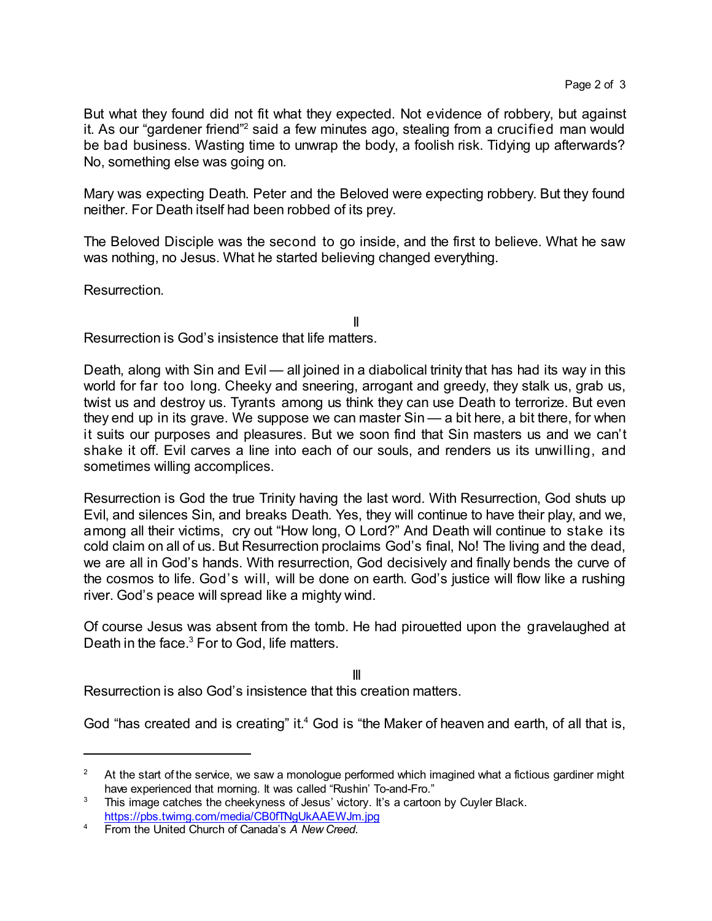But what they found did not fit what they expected. Not evidence of robbery, but against it. As our "gardener friend"<sup>2</sup> said a few minutes ago, stealing from a crucified man would be bad business. Wasting time to unwrap the body, a foolish risk. Tidying up afterwards? No, something else was going on.

Mary was expecting Death. Peter and the Beloved were expecting robbery. But they found neither. For Death itself had been robbed of its prey.

The Beloved Disciple was the second to go inside, and the first to believe. What he saw was nothing, no Jesus. What he started believing changed everything.

II

Resurrection.

Resurrection is God's insistence that life matters.

Death, along with Sin and Evil — all joined in a diabolical trinity that has had its way in this world for far too long. Cheeky and sneering, arrogant and greedy, they stalk us, grab us, twist us and destroy us. Tyrants among us think they can use Death to terrorize. But even they end up in its grave. We suppose we can master Sin — a bit here, a bit there, for when it suits our purposes and pleasures. But we soon find that Sin masters us and we can't shake it off. Evil carves a line into each of our souls, and renders us its unwilling, and sometimes willing accomplices.

Resurrection is God the true Trinity having the last word. With Resurrection, God shuts up Evil, and silences Sin, and breaks Death. Yes, they will continue to have their play, and we, among all their victims, cry out "How long, O Lord?" And Death will continue to stake its cold claim on all of us. But Resurrection proclaims God's final, No! The living and the dead, we are all in God's hands. With resurrection, God decisively and finally bends the curve of the cosmos to life. God's will, will be done on earth. God's justice will flow like a rushing river. God's peace will spread like a mighty wind.

Of course Jesus was absent from the tomb. He had pirouetted upon the gravelaughed at Death in the face.<sup>3</sup> For to God, life matters.

III

Resurrection is also God's insistence that this creation matters.

God "has created and is creating" it.<sup>4</sup> God is "the Maker of heaven and earth, of all that is,

<sup>&</sup>lt;sup>2</sup> At the start of the service, we saw a monologue performed which imagined what a fictious gardiner might have experienced that morning. It was called "Rushin' To-and-Fro."

 $3$  This image catches the cheekyness of Jesus' victory. It's a cartoon by Cuyler Black. <https://pbs.twimg.com/media/CB0fTNgUkAAEWJm.jpg>

<sup>4</sup> From the United Church of Canada's *A New Creed*.